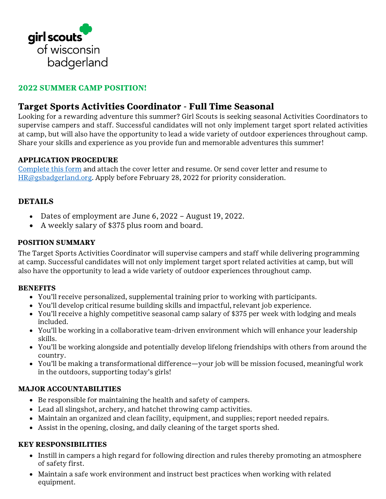

# **2022 SUMMER CAMP POSITION!**

# **Target Sports Activities Coordinator - Full Time Seasonal**

Looking for a rewarding adventure this summer? Girl Scouts is seeking seasonal Activities Coordinators to supervise campers and staff. Successful candidates will not only implement target sport related activities at camp, but will also have the opportunity to lead a wide variety of outdoor experiences throughout camp. Share your skills and experience as you provide fun and memorable adventures this summer!

#### **APPLICATION PROCEDURE**

[Complete this form](https://girlscoutsbadgerland.wufoo.com/forms/st4083512micfh/) and attach the cover letter and resume. Or send cover letter and resume to [HR@gsbadgerland.org.](mailto:HR@gsbadgerland.org) Apply before February 28, 2022 for priority consideration.

## **DETAILS**

- Dates of employment are June 6, 2022 August 19, 2022.
- A weekly salary of \$375 plus room and board.

#### **POSITION SUMMARY**

The Target Sports Activities Coordinator will supervise campers and staff while delivering programming at camp. Successful candidates will not only implement target sport related activities at camp, but will also have the opportunity to lead a wide variety of outdoor experiences throughout camp.

#### **BENEFITS**

- You'll receive personalized, supplemental training prior to working with participants.
- You'll develop critical resume building skills and impactful, relevant job experience.
- You'll receive a highly competitive seasonal camp salary of \$375 per week with lodging and meals included.
- You'll be working in a collaborative team-driven environment which will enhance your leadership skills.
- You'll be working alongside and potentially develop lifelong friendships with others from around the country.
- You'll be making a transformational difference—your job will be mission focused, meaningful work in the outdoors, supporting today's girls!

#### **MAJOR ACCOUNTABILITIES**

- Be responsible for maintaining the health and safety of campers.
- Lead all slingshot, archery, and hatchet throwing camp activities.
- Maintain an organized and clean facility, equipment, and supplies; report needed repairs.
- Assist in the opening, closing, and daily cleaning of the target sports shed.

#### **KEY RESPONSIBILITIES**

- Instill in campers a high regard for following direction and rules thereby promoting an atmosphere of safety first.
- Maintain a safe work environment and instruct best practices when working with related equipment.